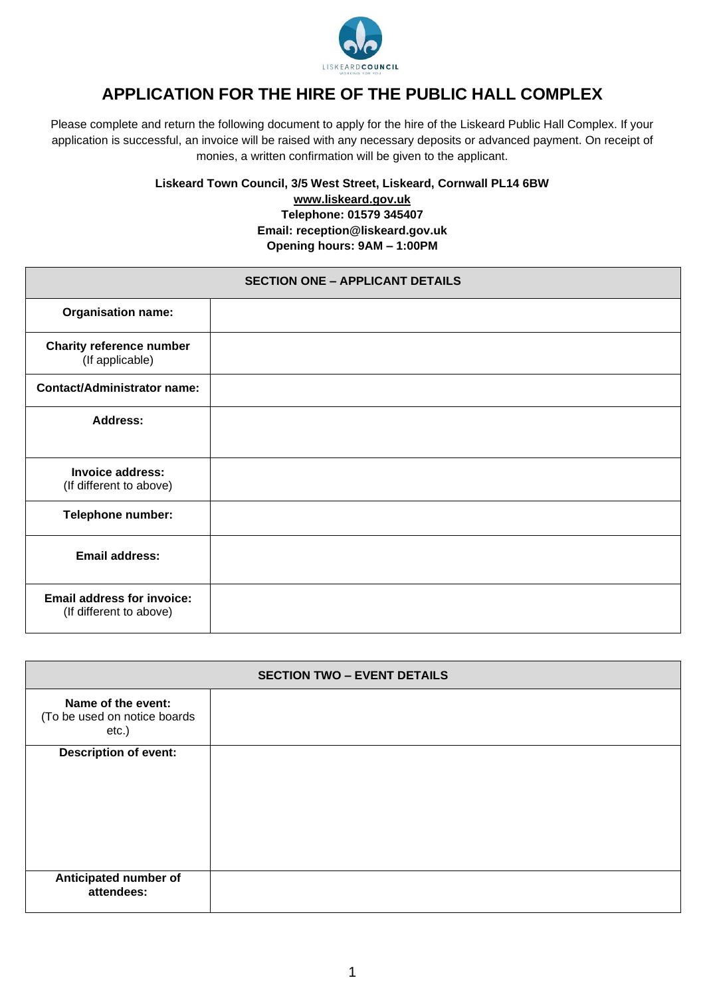

# **APPLICATION FOR THE HIRE OF THE PUBLIC HALL COMPLEX**

Please complete and return the following document to apply for the hire of the Liskeard Public Hall Complex. If your application is successful, an invoice will be raised with any necessary deposits or advanced payment. On receipt of monies, a written confirmation will be given to the applicant.

**Liskeard Town Council, 3/5 West Street, Liskeard, Cornwall PL14 6BW**

**[www.liskeard.gov.uk](http://www.liskeard.gov.uk/) Telephone: 01579 345407 Email: reception@liskeard.gov.uk**

**Opening hours: 9AM – 1:00PM**

| <b>SECTION ONE - APPLICANT DETAILS</b>                       |  |  |  |  |
|--------------------------------------------------------------|--|--|--|--|
| <b>Organisation name:</b>                                    |  |  |  |  |
| <b>Charity reference number</b><br>(If applicable)           |  |  |  |  |
| <b>Contact/Administrator name:</b>                           |  |  |  |  |
| <b>Address:</b>                                              |  |  |  |  |
| <b>Invoice address:</b><br>(If different to above)           |  |  |  |  |
| <b>Telephone number:</b>                                     |  |  |  |  |
| <b>Email address:</b>                                        |  |  |  |  |
| <b>Email address for invoice:</b><br>(If different to above) |  |  |  |  |

| <b>SECTION TWO - EVENT DETAILS</b>                          |  |  |  |  |
|-------------------------------------------------------------|--|--|--|--|
| Name of the event:<br>(To be used on notice boards<br>etc.) |  |  |  |  |
| <b>Description of event:</b>                                |  |  |  |  |
| Anticipated number of<br>attendees:                         |  |  |  |  |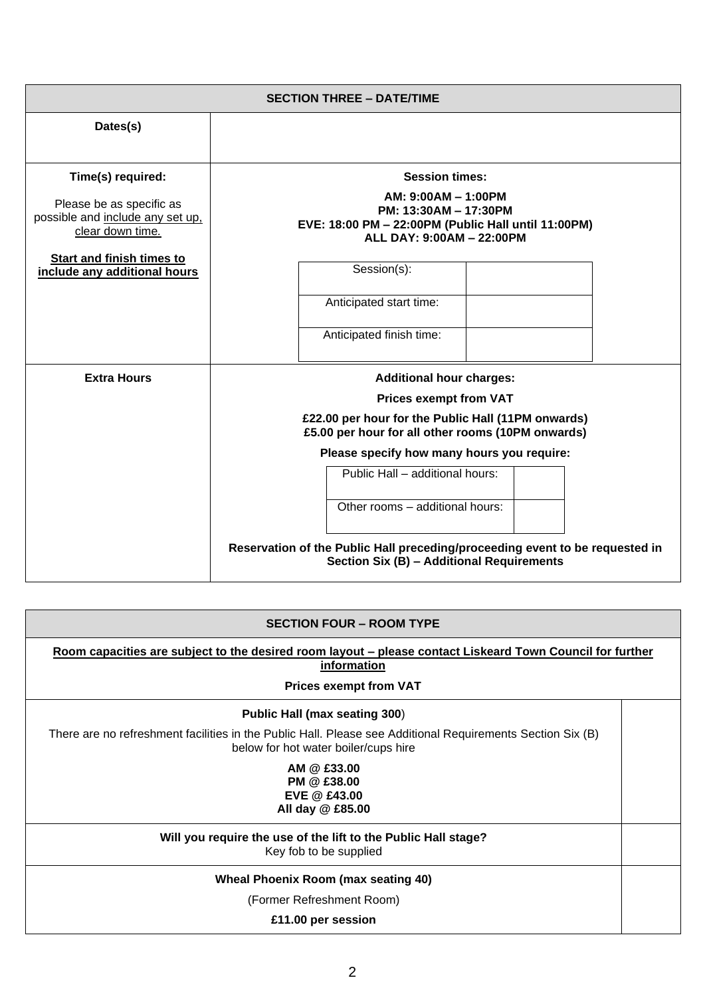|                                                                                                       | <b>SECTION THREE - DATE/TIME</b>                                                                                                                                                                                          |  |
|-------------------------------------------------------------------------------------------------------|---------------------------------------------------------------------------------------------------------------------------------------------------------------------------------------------------------------------------|--|
| Dates(s)                                                                                              |                                                                                                                                                                                                                           |  |
| Time(s) required:<br>Please be as specific as<br>possible and include any set up,<br>clear down time. | <b>Session times:</b><br>AM: 9:00AM - 1:00PM<br>PM: 13:30AM - 17:30PM<br>EVE: 18:00 PM - 22:00PM (Public Hall until 11:00PM)<br>ALL DAY: 9:00AM - 22:00PM                                                                 |  |
| <b>Start and finish times to</b><br>include any additional hours                                      | Session(s):<br>Anticipated start time:<br>Anticipated finish time:                                                                                                                                                        |  |
| <b>Extra Hours</b>                                                                                    | <b>Additional hour charges:</b><br><b>Prices exempt from VAT</b><br>£22.00 per hour for the Public Hall (11PM onwards)<br>£5.00 per hour for all other rooms (10PM onwards)<br>Please specify how many hours you require: |  |
|                                                                                                       | Public Hall - additional hours:<br>Other rooms - additional hours:<br>Reservation of the Public Hall preceding/proceeding event to be requested in<br>Section Six (B) - Additional Requirements                           |  |

| <b>SECTION FOUR – ROOM TYPE</b>                                                                                                                    |  |  |  |
|----------------------------------------------------------------------------------------------------------------------------------------------------|--|--|--|
| Room capacities are subject to the desired room layout – please contact Liskeard Town Council for further<br>information                           |  |  |  |
| <b>Prices exempt from VAT</b>                                                                                                                      |  |  |  |
| Public Hall (max seating 300)                                                                                                                      |  |  |  |
| There are no refreshment facilities in the Public Hall. Please see Additional Requirements Section Six (B)<br>below for hot water boiler/cups hire |  |  |  |
| AM @ £33.00<br>PM @ £38.00<br>EVE @ £43.00<br>All day @ £85.00                                                                                     |  |  |  |
| Will you require the use of the lift to the Public Hall stage?<br>Key fob to be supplied                                                           |  |  |  |
| Wheal Phoenix Room (max seating 40)                                                                                                                |  |  |  |
| (Former Refreshment Room)                                                                                                                          |  |  |  |
| £11.00 per session                                                                                                                                 |  |  |  |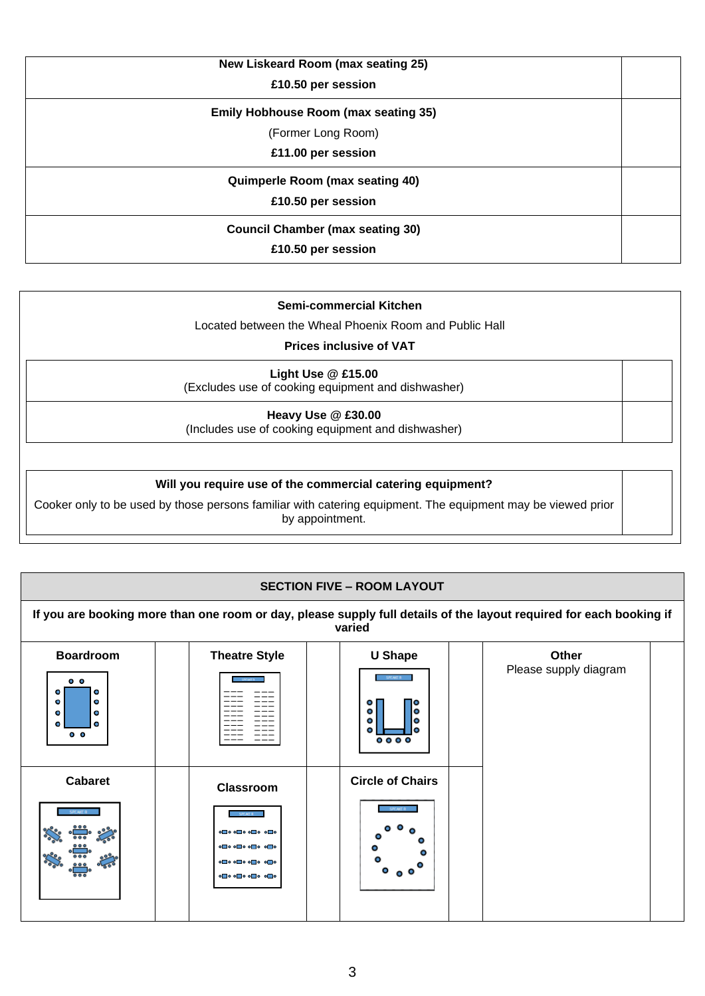| New Liskeard Room (max seating 25)          |  |
|---------------------------------------------|--|
| £10.50 per session                          |  |
| <b>Emily Hobhouse Room (max seating 35)</b> |  |
| (Former Long Room)                          |  |
| £11.00 per session                          |  |
| <b>Quimperle Room (max seating 40)</b>      |  |
| £10.50 per session                          |  |
| <b>Council Chamber (max seating 30)</b>     |  |
| £10.50 per session                          |  |

#### **Semi-commercial Kitchen**

Located between the Wheal Phoenix Room and Public Hall

### **Prices inclusive of VAT**

**Light Use @ £15.00**  (Excludes use of cooking equipment and dishwasher)

**Heavy Use @ £30.00**  (Includes use of cooking equipment and dishwasher)

#### **Will you require use of the commercial catering equipment?**

Cooker only to be used by those persons familiar with catering equipment. The equipment may be viewed prior by appointment.

| <b>SECTION FIVE - ROOM LAYOUT</b>                                                                                    |                                                                                                                                      |                                                            |                                                                                                                     |  |
|----------------------------------------------------------------------------------------------------------------------|--------------------------------------------------------------------------------------------------------------------------------------|------------------------------------------------------------|---------------------------------------------------------------------------------------------------------------------|--|
|                                                                                                                      |                                                                                                                                      | varied                                                     | If you are booking more than one room or day, please supply full details of the layout required for each booking if |  |
| <b>Boardroom</b><br>$^{\circ}$<br>۰<br>ο<br>$\bullet$<br>۰<br>$\bullet$<br>$\bullet$<br>٥<br>$\bullet$<br>$^{\circ}$ | <b>Theatre Style</b>                                                                                                                 | <b>U Shape</b><br>SPEAKER<br>۰<br>ο<br>۰<br>ο<br>۰<br>0000 | Other<br>Please supply diagram                                                                                      |  |
| <b>Cabaret</b><br>SPEAKER                                                                                            | Classroom<br>SPEAKER -<br>$\circ$ $\circ$ $\circ$ $\circ$ $\circ$ $\circ$ $\circ$<br>$\circ$ $\circ$ $\circ$ $\circ$ $\circ$ $\circ$ | <b>Circle of Chairs</b>                                    |                                                                                                                     |  |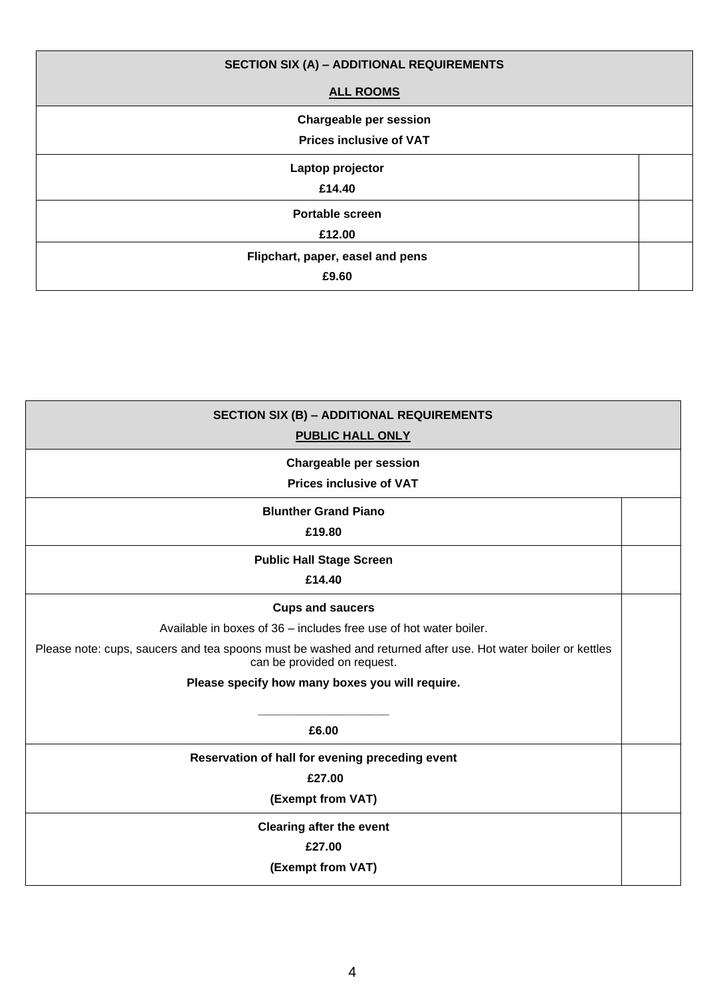| <b>SECTION SIX (A) - ADDITIONAL REQUIREMENTS</b> |  |
|--------------------------------------------------|--|
| <b>ALL ROOMS</b>                                 |  |
| <b>Chargeable per session</b>                    |  |
| <b>Prices inclusive of VAT</b>                   |  |
| Laptop projector                                 |  |
| £14.40                                           |  |
| <b>Portable screen</b>                           |  |
| £12.00                                           |  |
| Flipchart, paper, easel and pens                 |  |
| £9.60                                            |  |

| <b>SECTION SIX (B) - ADDITIONAL REQUIREMENTS</b><br><b>PUBLIC HALL ONLY</b>                                                                                                                                                                                                                    |  |
|------------------------------------------------------------------------------------------------------------------------------------------------------------------------------------------------------------------------------------------------------------------------------------------------|--|
| <b>Chargeable per session</b><br><b>Prices inclusive of VAT</b>                                                                                                                                                                                                                                |  |
| <b>Blunther Grand Piano</b><br>£19.80                                                                                                                                                                                                                                                          |  |
| <b>Public Hall Stage Screen</b><br>£14.40                                                                                                                                                                                                                                                      |  |
| <b>Cups and saucers</b><br>Available in boxes of 36 – includes free use of hot water boiler.<br>Please note: cups, saucers and tea spoons must be washed and returned after use. Hot water boiler or kettles<br>can be provided on request.<br>Please specify how many boxes you will require. |  |
| £6.00                                                                                                                                                                                                                                                                                          |  |
| Reservation of hall for evening preceding event<br>£27.00<br>(Exempt from VAT)<br><b>Clearing after the event</b>                                                                                                                                                                              |  |
| £27.00<br>(Exempt from VAT)                                                                                                                                                                                                                                                                    |  |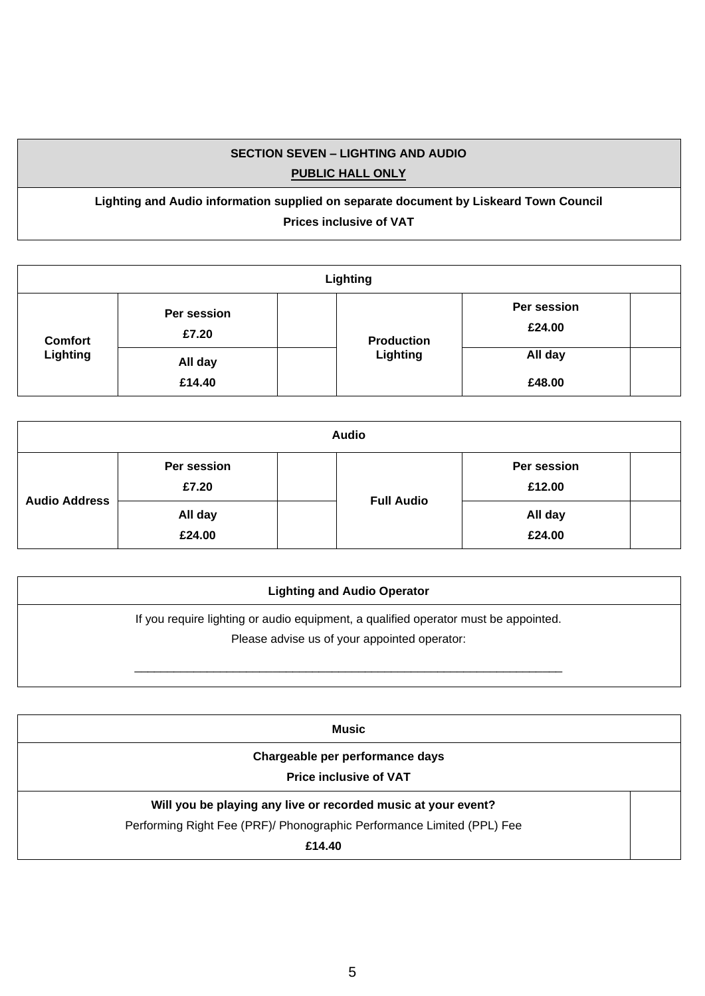# **SECTION SEVEN – LIGHTING AND AUDIO PUBLIC HALL ONLY**

**Lighting and Audio information supplied on separate document by Liskeard Town Council Prices inclusive of VAT**

| Lighting       |                      |                   |                       |  |
|----------------|----------------------|-------------------|-----------------------|--|
| <b>Comfort</b> | Per session<br>£7.20 | <b>Production</b> | Per session<br>£24.00 |  |
| Lighting       | All day<br>£14.40    | Lighting          | All day<br>£48.00     |  |

| <b>Audio</b>         |                      |  |                   |                       |  |
|----------------------|----------------------|--|-------------------|-----------------------|--|
| <b>Audio Address</b> | Per session<br>£7.20 |  | <b>Full Audio</b> | Per session<br>£12.00 |  |
|                      | All day<br>£24.00    |  |                   | All day<br>£24.00     |  |

| <b>Lighting and Audio Operator</b>                                                                                                  |  |
|-------------------------------------------------------------------------------------------------------------------------------------|--|
| If you require lighting or audio equipment, a qualified operator must be appointed.<br>Please advise us of your appointed operator: |  |
|                                                                                                                                     |  |

| Music                                                                  |  |
|------------------------------------------------------------------------|--|
| Chargeable per performance days                                        |  |
| <b>Price inclusive of VAT</b>                                          |  |
| Will you be playing any live or recorded music at your event?          |  |
| Performing Right Fee (PRF)/ Phonographic Performance Limited (PPL) Fee |  |
| £14.40                                                                 |  |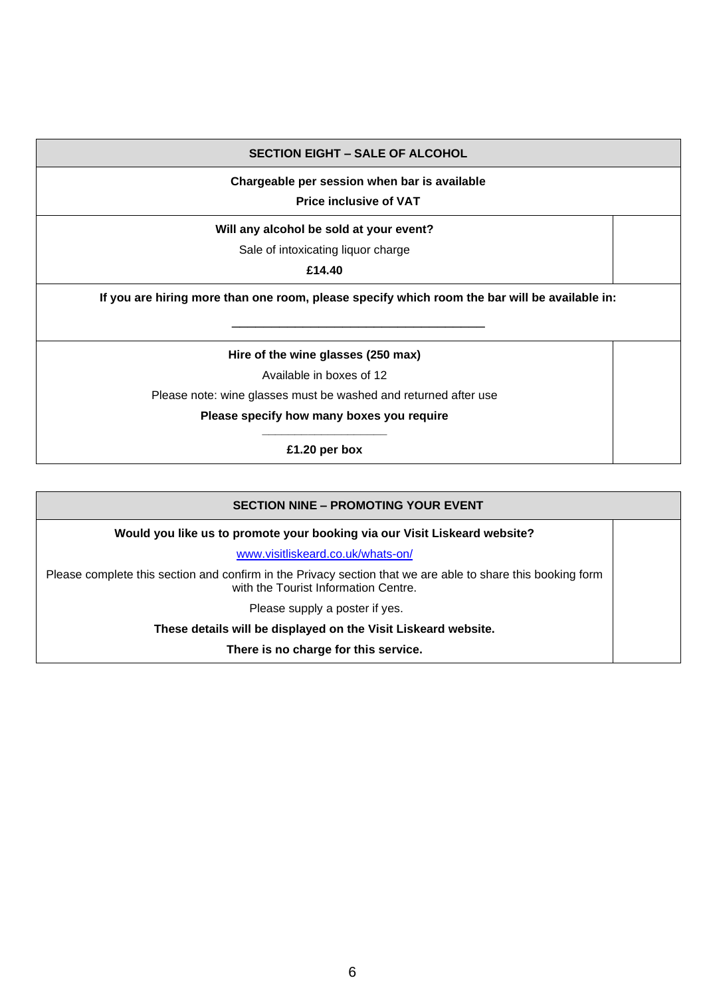#### **SECTION EIGHT – SALE OF ALCOHOL**

#### **Chargeable per session when bar is available**

**Price inclusive of VAT**

#### **Will any alcohol be sold at your event?**

Sale of intoxicating liquor charge

**£14.40**

**If you are hiring more than one room, please specify which room the bar will be available in:** \_\_\_\_\_\_\_\_\_\_\_\_\_\_\_\_\_\_\_\_\_\_\_\_\_\_\_\_\_\_\_\_

**Hire of the wine glasses (250 max)**

Available in boxes of 12

Please note: wine glasses must be washed and returned after use

#### **Please specify how many boxes you require \_\_\_\_\_\_\_\_\_\_\_\_\_\_\_\_\_\_\_**

**£1.20 per box**

| <b>SECTION NINE - PROMOTING YOUR EVENT</b>                                                                                                          |  |
|-----------------------------------------------------------------------------------------------------------------------------------------------------|--|
| Would you like us to promote your booking via our Visit Liskeard website?                                                                           |  |
| www.visitliskeard.co.uk/whats-on/                                                                                                                   |  |
| Please complete this section and confirm in the Privacy section that we are able to share this booking form<br>with the Tourist Information Centre. |  |
| Please supply a poster if yes.                                                                                                                      |  |
| These details will be displayed on the Visit Liskeard website.                                                                                      |  |
| There is no charge for this service.                                                                                                                |  |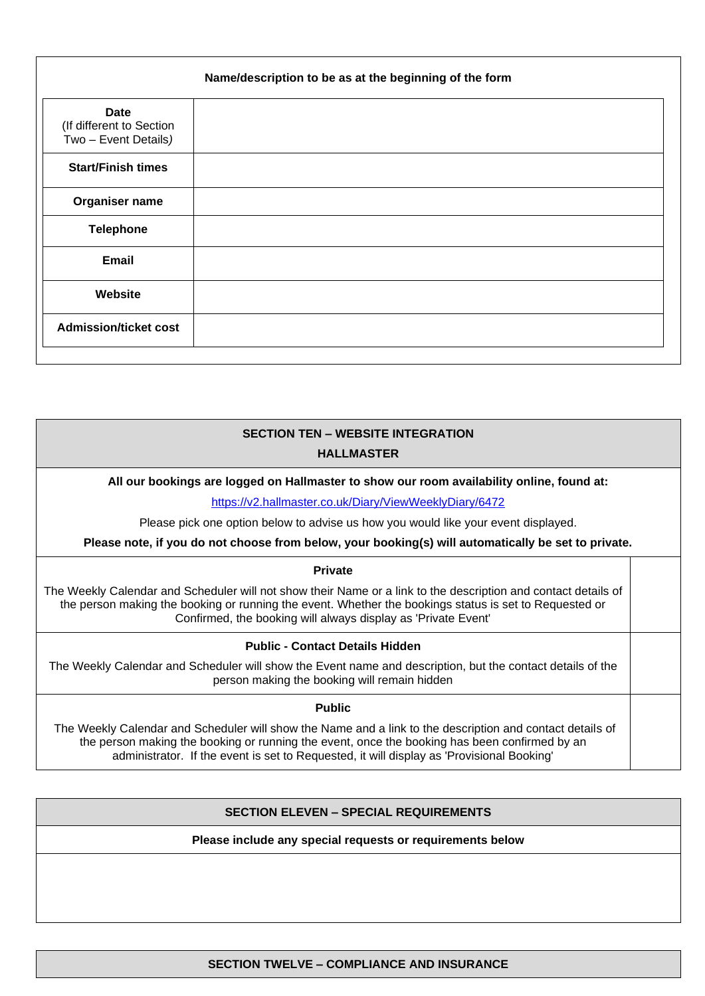|                                                                 | Name/description to be as at the beginning of the form |
|-----------------------------------------------------------------|--------------------------------------------------------|
| <b>Date</b><br>(If different to Section<br>Two - Event Details) |                                                        |
| <b>Start/Finish times</b>                                       |                                                        |
| Organiser name                                                  |                                                        |
| <b>Telephone</b>                                                |                                                        |
| Email                                                           |                                                        |
| Website                                                         |                                                        |
| <b>Admission/ticket cost</b>                                    |                                                        |

# **SECTION TEN – WEBSITE INTEGRATION HALLMASTER**

#### **All our bookings are logged on Hallmaster to show our room availability online, found at:**

<https://v2.hallmaster.co.uk/Diary/ViewWeeklyDiary/6472>

Please pick one option below to advise us how you would like your event displayed.

**Please note, if you do not choose from below, your booking(s) will automatically be set to private.**

#### **Private**

The Weekly Calendar and Scheduler will not show their Name or a link to the description and contact details of the person making the booking or running the event. Whether the bookings status is set to Requested or Confirmed, the booking will always display as 'Private Event'

#### **Public - Contact Details Hidden**

The Weekly Calendar and Scheduler will show the Event name and description, but the contact details of the person making the booking will remain hidden

#### **Public**

The Weekly Calendar and Scheduler will show the Name and a link to the description and contact details of the person making the booking or running the event, once the booking has been confirmed by an administrator. If the event is set to Requested, it will display as 'Provisional Booking'

#### **SECTION ELEVEN – SPECIAL REQUIREMENTS**

**Please include any special requests or requirements below**

7 **SECTION TWELVE – COMPLIANCE AND INSURANCE**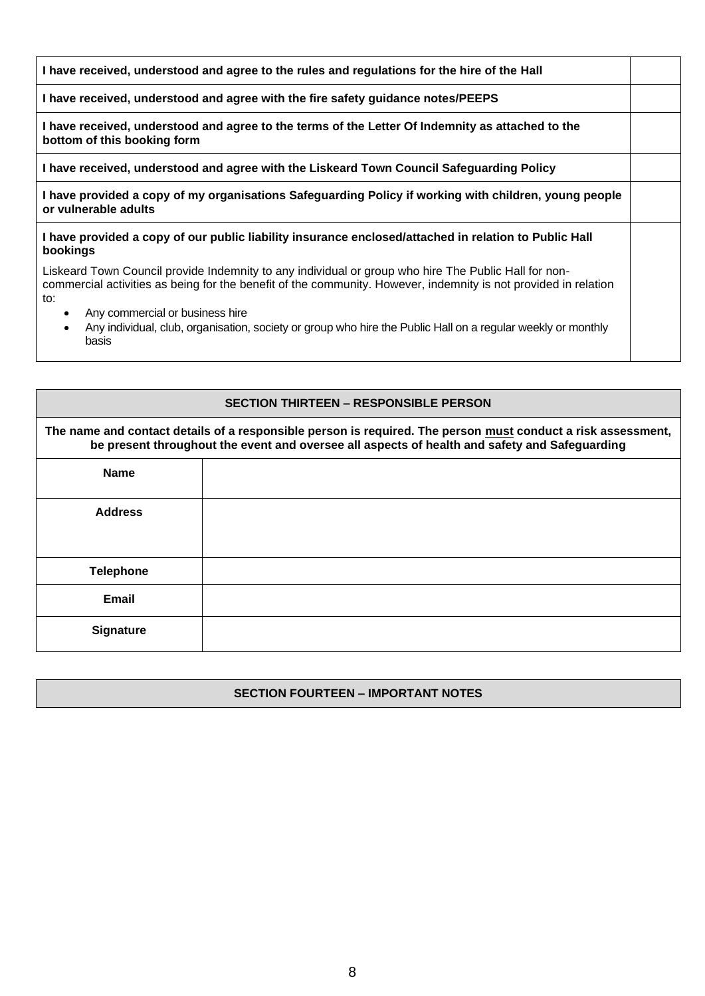| I have received, understood and agree to the rules and regulations for the hire of the Hall                                                                                                                                    |  |
|--------------------------------------------------------------------------------------------------------------------------------------------------------------------------------------------------------------------------------|--|
| I have received, understood and agree with the fire safety guidance notes/PEEPS                                                                                                                                                |  |
| I have received, understood and agree to the terms of the Letter Of Indemnity as attached to the<br>bottom of this booking form                                                                                                |  |
| I have received, understood and agree with the Liskeard Town Council Safeguarding Policy                                                                                                                                       |  |
| I have provided a copy of my organisations Safeguarding Policy if working with children, young people<br>or vulnerable adults                                                                                                  |  |
| I have provided a copy of our public liability insurance enclosed/attached in relation to Public Hall<br>bookings                                                                                                              |  |
| Liskeard Town Council provide Indemnity to any individual or group who hire The Public Hall for non-<br>commercial activities as being for the benefit of the community. However, indemnity is not provided in relation<br>to: |  |
| Any commercial or business hire<br>$\bullet$<br>Any individual, club, organisation, society or group who hire the Public Hall on a regular weekly or monthly<br>$\bullet$<br>basis                                             |  |

| <b>SECTION THIRTEEN – RESPONSIBLE PERSON</b>                                                                                                                                                                  |  |  |  |  |
|---------------------------------------------------------------------------------------------------------------------------------------------------------------------------------------------------------------|--|--|--|--|
| The name and contact details of a responsible person is required. The person must conduct a risk assessment,<br>be present throughout the event and oversee all aspects of health and safety and Safeguarding |  |  |  |  |
| <b>Name</b>                                                                                                                                                                                                   |  |  |  |  |
| <b>Address</b>                                                                                                                                                                                                |  |  |  |  |
| <b>Telephone</b>                                                                                                                                                                                              |  |  |  |  |
| Email                                                                                                                                                                                                         |  |  |  |  |
| <b>Signature</b>                                                                                                                                                                                              |  |  |  |  |

# **SECTION FOURTEEN – IMPORTANT NOTES**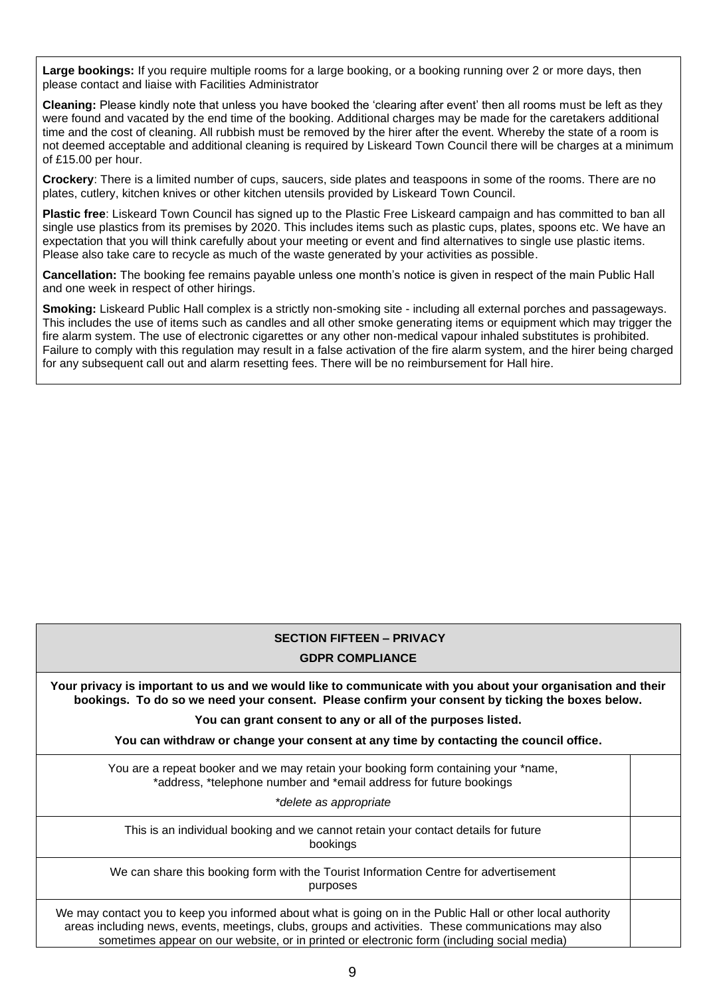**Large bookings:** If you require multiple rooms for a large booking, or a booking running over 2 or more days, then please contact and liaise with Facilities Administrator

**Cleaning:** Please kindly note that unless you have booked the 'clearing after event' then all rooms must be left as they were found and vacated by the end time of the booking. Additional charges may be made for the caretakers additional time and the cost of cleaning. All rubbish must be removed by the hirer after the event. Whereby the state of a room is not deemed acceptable and additional cleaning is required by Liskeard Town Council there will be charges at a minimum of £15.00 per hour.

**Crockery**: There is a limited number of cups, saucers, side plates and teaspoons in some of the rooms. There are no plates, cutlery, kitchen knives or other kitchen utensils provided by Liskeard Town Council.

**Plastic free**: Liskeard Town Council has signed up to the Plastic Free Liskeard campaign and has committed to ban all single use plastics from its premises by 2020. This includes items such as plastic cups, plates, spoons etc. We have an expectation that you will think carefully about your meeting or event and find alternatives to single use plastic items. Please also take care to recycle as much of the waste generated by your activities as possible.

**Cancellation:** The booking fee remains payable unless one month's notice is given in respect of the main Public Hall and one week in respect of other hirings.

**Smoking:** Liskeard Public Hall complex is a strictly non-smoking site - including all external porches and passageways. This includes the use of items such as candles and all other smoke generating items or equipment which may trigger the fire alarm system. The use of electronic cigarettes or any other non-medical vapour inhaled substitutes is prohibited. Failure to comply with this regulation may result in a false activation of the fire alarm system, and the hirer being charged for any subsequent call out and alarm resetting fees. There will be no reimbursement for Hall hire.

# **SECTION FIFTEEN – PRIVACY**

#### **GDPR COMPLIANCE**

**Your privacy is important to us and we would like to communicate with you about your organisation and their bookings. To do so we need your consent. Please confirm your consent by ticking the boxes below.**

**You can grant consent to any or all of the purposes listed.**

**You can withdraw or change your consent at any time by contacting the council office.**

You are a repeat booker and we may retain your booking form containing your \*name, \*address, \*telephone number and \*email address for future bookings

*\*delete as appropriate*

This is an individual booking and we cannot retain your contact details for future bookings

We can share this booking form with the Tourist Information Centre for advertisement purposes

We may contact you to keep you informed about what is going on in the Public Hall or other local authority areas including news, events, meetings, clubs, groups and activities. These communications may also sometimes appear on our website, or in printed or electronic form (including social media)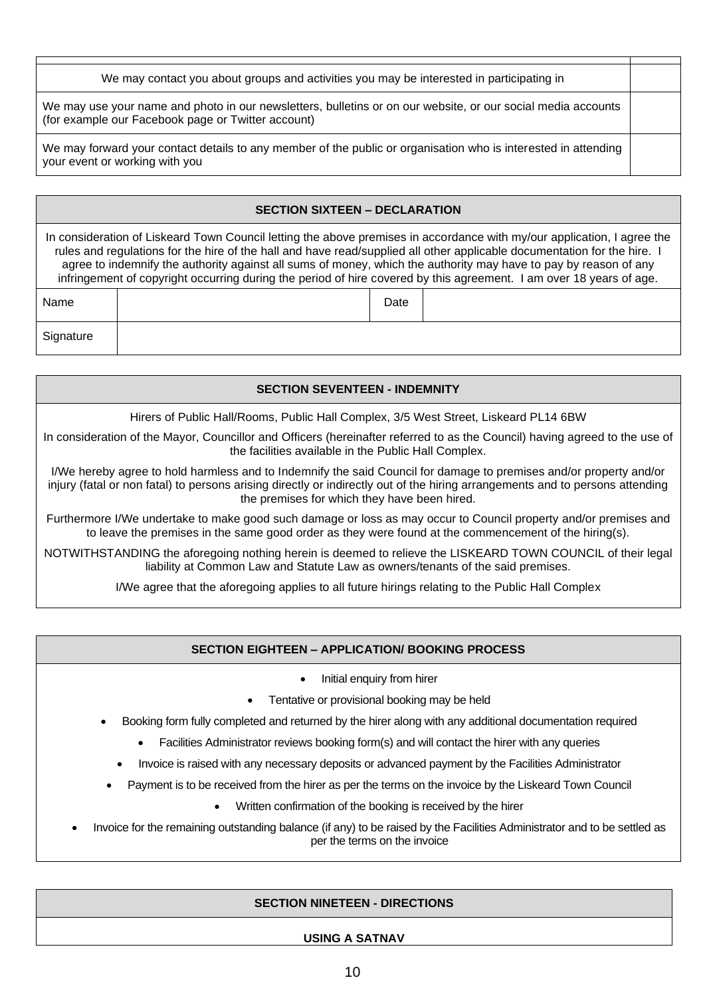| We may contact you about groups and activities you may be interested in participating in                                                                           |  |
|--------------------------------------------------------------------------------------------------------------------------------------------------------------------|--|
| We may use your name and photo in our newsletters, bulletins or on our website, or our social media accounts<br>(for example our Facebook page or Twitter account) |  |
| We may forward your contact details to any member of the public or organisation who is interested in attending<br>your event or working with you                   |  |

| <b>SECTION SIXTEEN - DECLARATION</b>                                                                                                                                                                                                                                                                                                                                                                                                                                                           |  |      |  |
|------------------------------------------------------------------------------------------------------------------------------------------------------------------------------------------------------------------------------------------------------------------------------------------------------------------------------------------------------------------------------------------------------------------------------------------------------------------------------------------------|--|------|--|
| In consideration of Liskeard Town Council letting the above premises in accordance with my/our application, I agree the<br>rules and regulations for the hire of the hall and have read/supplied all other applicable documentation for the hire. I<br>agree to indemnify the authority against all sums of money, which the authority may have to pay by reason of any<br>infringement of copyright occurring during the period of hire covered by this agreement. I am over 18 years of age. |  |      |  |
| Name                                                                                                                                                                                                                                                                                                                                                                                                                                                                                           |  | Date |  |
| Signature                                                                                                                                                                                                                                                                                                                                                                                                                                                                                      |  |      |  |

| <b>SECTION SEVENTEEN - INDEMNITY</b>                                                                                                                                                                                                                                                                |
|-----------------------------------------------------------------------------------------------------------------------------------------------------------------------------------------------------------------------------------------------------------------------------------------------------|
| Hirers of Public Hall/Rooms, Public Hall Complex, 3/5 West Street, Liskeard PL14 6BW                                                                                                                                                                                                                |
| In consideration of the Mayor, Councillor and Officers (hereinafter referred to as the Council) having agreed to the use of<br>the facilities available in the Public Hall Complex.                                                                                                                 |
| I/We hereby agree to hold harmless and to Indemnify the said Council for damage to premises and/or property and/or<br>injury (fatal or non fatal) to persons arising directly or indirectly out of the hiring arrangements and to persons attending<br>the premises for which they have been hired. |

Furthermore I/We undertake to make good such damage or loss as may occur to Council property and/or premises and to leave the premises in the same good order as they were found at the commencement of the hiring(s).

NOTWITHSTANDING the aforegoing nothing herein is deemed to relieve the LISKEARD TOWN COUNCIL of their legal liability at Common Law and Statute Law as owners/tenants of the said premises.

I/We agree that the aforegoing applies to all future hirings relating to the Public Hall Complex

### **SECTION EIGHTEEN – APPLICATION/ BOOKING PROCESS**

• Initial enquiry from hirer

- Tentative or provisional booking may be held
- Booking form fully completed and returned by the hirer along with any additional documentation required
	- Facilities Administrator reviews booking form(s) and will contact the hirer with any queries
	- Invoice is raised with any necessary deposits or advanced payment by the Facilities Administrator
- Payment is to be received from the hirer as per the terms on the invoice by the Liskeard Town Council
	- Written confirmation of the booking is received by the hirer

• Invoice for the remaining outstanding balance (if any) to be raised by the Facilities Administrator and to be settled as per the terms on the invoice

#### **SECTION NINETEEN - DIRECTIONS**

#### **USING A SATNAV**